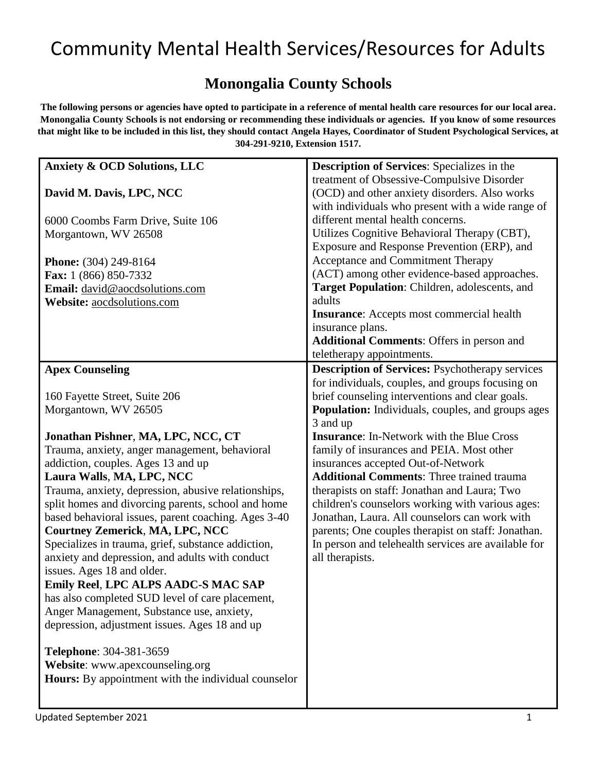#### **Monongalia County Schools**

**The following persons or agencies have opted to participate in a reference of mental health care resources for our local area. Monongalia County Schools is not endorsing or recommending these individuals or agencies. If you know of some resources that might like to be included in this list, they should contact Angela Hayes, Coordinator of Student Psychological Services, at 304-291-9210, Extension 1517.**

| <b>Anxiety &amp; OCD Solutions, LLC</b>                    | <b>Description of Services:</b> Specializes in the     |
|------------------------------------------------------------|--------------------------------------------------------|
|                                                            | treatment of Obsessive-Compulsive Disorder             |
| David M. Davis, LPC, NCC                                   | (OCD) and other anxiety disorders. Also works          |
|                                                            | with individuals who present with a wide range of      |
| 6000 Coombs Farm Drive, Suite 106                          | different mental health concerns.                      |
| Morgantown, WV 26508                                       | Utilizes Cognitive Behavioral Therapy (CBT),           |
|                                                            | Exposure and Response Prevention (ERP), and            |
| Phone: (304) 249-8164                                      | Acceptance and Commitment Therapy                      |
| Fax: 1 (866) 850-7332                                      | (ACT) among other evidence-based approaches.           |
| Email: david@aocdsolutions.com                             | Target Population: Children, adolescents, and          |
| Website: aocdsolutions.com                                 | adults                                                 |
|                                                            | <b>Insurance:</b> Accepts most commercial health       |
|                                                            | insurance plans.                                       |
|                                                            | <b>Additional Comments: Offers in person and</b>       |
|                                                            | teletherapy appointments.                              |
| <b>Apex Counseling</b>                                     | <b>Description of Services: Psychotherapy services</b> |
|                                                            |                                                        |
|                                                            | for individuals, couples, and groups focusing on       |
| 160 Fayette Street, Suite 206                              | brief counseling interventions and clear goals.        |
| Morgantown, WV 26505                                       | Population: Individuals, couples, and groups ages      |
|                                                            | 3 and up                                               |
| Jonathan Pishner, MA, LPC, NCC, CT                         | <b>Insurance:</b> In-Network with the Blue Cross       |
| Trauma, anxiety, anger management, behavioral              | family of insurances and PEIA. Most other              |
| addiction, couples. Ages 13 and up                         | insurances accepted Out-of-Network                     |
| Laura Walls, MA, LPC, NCC                                  | <b>Additional Comments: Three trained trauma</b>       |
| Trauma, anxiety, depression, abusive relationships,        | therapists on staff: Jonathan and Laura; Two           |
| split homes and divorcing parents, school and home         | children's counselors working with various ages:       |
| based behavioral issues, parent coaching. Ages 3-40        | Jonathan, Laura. All counselors can work with          |
| <b>Courtney Zemerick, MA, LPC, NCC</b>                     | parents; One couples therapist on staff: Jonathan.     |
| Specializes in trauma, grief, substance addiction,         | In person and telehealth services are available for    |
| anxiety and depression, and adults with conduct            | all therapists.                                        |
| issues. Ages 18 and older.                                 |                                                        |
| Emily Reel, LPC ALPS AADC-S MAC SAP                        |                                                        |
| has also completed SUD level of care placement,            |                                                        |
| Anger Management, Substance use, anxiety,                  |                                                        |
| depression, adjustment issues. Ages 18 and up              |                                                        |
|                                                            |                                                        |
| Telephone: 304-381-3659                                    |                                                        |
| Website: www.apexcounseling.org                            |                                                        |
| <b>Hours:</b> By appointment with the individual counselor |                                                        |
|                                                            |                                                        |
|                                                            |                                                        |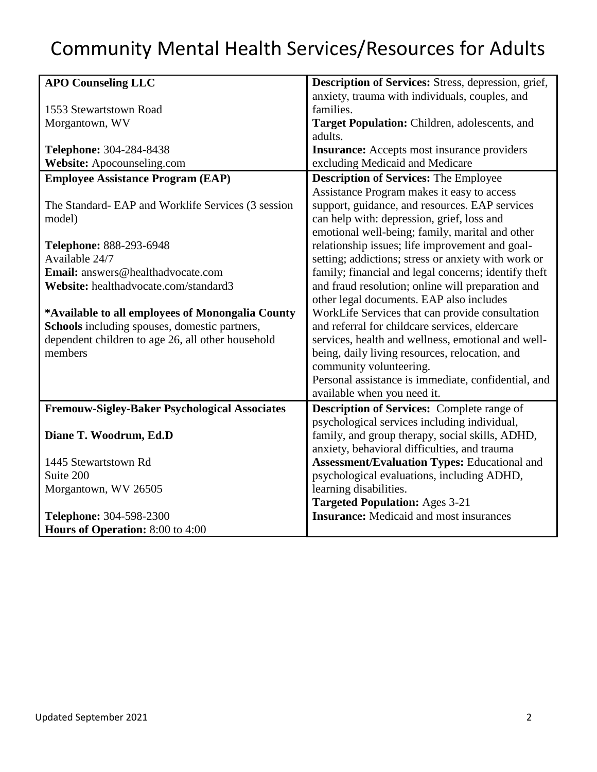| <b>APO Counseling LLC</b>                            | Description of Services: Stress, depression, grief,  |
|------------------------------------------------------|------------------------------------------------------|
|                                                      | anxiety, trauma with individuals, couples, and       |
| 1553 Stewartstown Road                               | families.                                            |
| Morgantown, WV                                       | Target Population: Children, adolescents, and        |
|                                                      | adults.                                              |
| Telephone: 304-284-8438                              | <b>Insurance:</b> Accepts most insurance providers   |
| Website: Apocounseling.com                           | excluding Medicaid and Medicare                      |
| <b>Employee Assistance Program (EAP)</b>             | <b>Description of Services: The Employee</b>         |
|                                                      | Assistance Program makes it easy to access           |
| The Standard- EAP and Worklife Services (3 session   | support, guidance, and resources. EAP services       |
| model)                                               | can help with: depression, grief, loss and           |
|                                                      | emotional well-being; family, marital and other      |
| Telephone: 888-293-6948                              | relationship issues; life improvement and goal-      |
| Available 24/7                                       | setting; addictions; stress or anxiety with work or  |
| Email: answers@healthadvocate.com                    | family; financial and legal concerns; identify theft |
| Website: healthadvocate.com/standard3                | and fraud resolution; online will preparation and    |
|                                                      | other legal documents. EAP also includes             |
| *Available to all employees of Monongalia County     | WorkLife Services that can provide consultation      |
| Schools including spouses, domestic partners,        | and referral for childcare services, eldercare       |
| dependent children to age 26, all other household    | services, health and wellness, emotional and well-   |
| members                                              | being, daily living resources, relocation, and       |
|                                                      | community volunteering.                              |
|                                                      | Personal assistance is immediate, confidential, and  |
|                                                      | available when you need it.                          |
| <b>Fremouw-Sigley-Baker Psychological Associates</b> | <b>Description of Services:</b> Complete range of    |
|                                                      | psychological services including individual,         |
| Diane T. Woodrum, Ed.D                               | family, and group therapy, social skills, ADHD,      |
|                                                      | anxiety, behavioral difficulties, and trauma         |
| 1445 Stewartstown Rd                                 | <b>Assessment/Evaluation Types: Educational and</b>  |
| Suite 200                                            | psychological evaluations, including ADHD,           |
| Morgantown, WV 26505                                 | learning disabilities.                               |
|                                                      | <b>Targeted Population: Ages 3-21</b>                |
| Telephone: 304-598-2300                              | <b>Insurance:</b> Medicaid and most insurances       |
| Hours of Operation: 8:00 to 4:00                     |                                                      |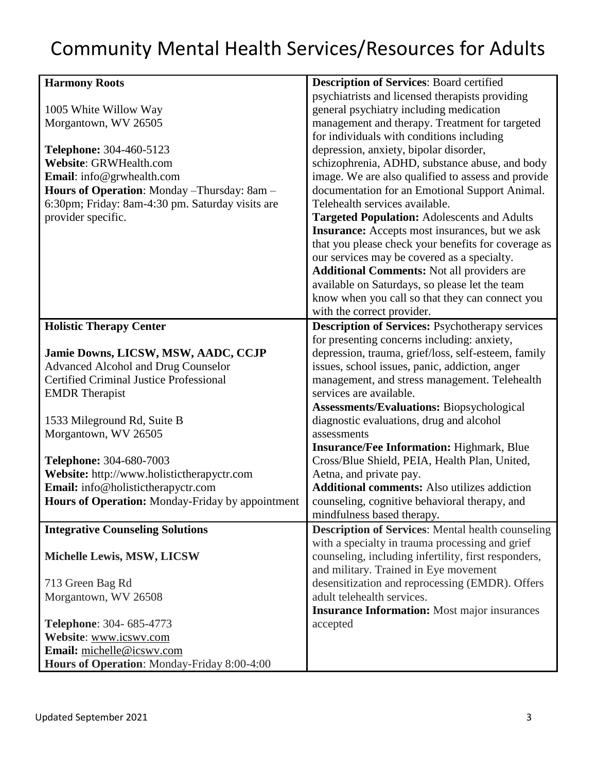| <b>Harmony Roots</b>                             | <b>Description of Services: Board certified</b>                                  |
|--------------------------------------------------|----------------------------------------------------------------------------------|
|                                                  | psychiatrists and licensed therapists providing                                  |
| 1005 White Willow Way                            | general psychiatry including medication                                          |
| Morgantown, WV 26505                             | management and therapy. Treatment for targeted                                   |
|                                                  | for individuals with conditions including                                        |
| Telephone: 304-460-5123                          | depression, anxiety, bipolar disorder,                                           |
| Website: GRWHealth.com                           | schizophrenia, ADHD, substance abuse, and body                                   |
| Email: info@grwhealth.com                        | image. We are also qualified to assess and provide                               |
| Hours of Operation: Monday - Thursday: 8am -     |                                                                                  |
|                                                  | documentation for an Emotional Support Animal.<br>Telehealth services available. |
| 6:30pm; Friday: 8am-4:30 pm. Saturday visits are |                                                                                  |
| provider specific.                               | <b>Targeted Population:</b> Adolescents and Adults                               |
|                                                  | <b>Insurance:</b> Accepts most insurances, but we ask                            |
|                                                  | that you please check your benefits for coverage as                              |
|                                                  | our services may be covered as a specialty.                                      |
|                                                  | <b>Additional Comments: Not all providers are</b>                                |
|                                                  | available on Saturdays, so please let the team                                   |
|                                                  | know when you call so that they can connect you                                  |
|                                                  | with the correct provider.                                                       |
| <b>Holistic Therapy Center</b>                   | <b>Description of Services: Psychotherapy services</b>                           |
|                                                  | for presenting concerns including: anxiety,                                      |
| Jamie Downs, LICSW, MSW, AADC, CCJP              | depression, trauma, grief/loss, self-esteem, family                              |
| <b>Advanced Alcohol and Drug Counselor</b>       | issues, school issues, panic, addiction, anger                                   |
| <b>Certified Criminal Justice Professional</b>   | management, and stress management. Telehealth                                    |
| <b>EMDR</b> Therapist                            | services are available.                                                          |
|                                                  | Assessments/Evaluations: Biopsychological                                        |
|                                                  |                                                                                  |
| 1533 Mileground Rd, Suite B                      | diagnostic evaluations, drug and alcohol                                         |
| Morgantown, WV 26505                             | assessments                                                                      |
|                                                  | <b>Insurance/Fee Information:</b> Highmark, Blue                                 |
| Telephone: 304-680-7003                          | Cross/Blue Shield, PEIA, Health Plan, United,                                    |
| Website: http://www.holistictherapyctr.com       | Aetna, and private pay.                                                          |
| Email: info@holistictherapyctr.com               | <b>Additional comments:</b> Also utilizes addiction                              |
| Hours of Operation: Monday-Friday by appointment | counseling, cognitive behavioral therapy, and                                    |
|                                                  | mindfulness based therapy.                                                       |
| <b>Integrative Counseling Solutions</b>          | <b>Description of Services:</b> Mental health counseling                         |
|                                                  | with a specialty in trauma processing and grief                                  |
| Michelle Lewis, MSW, LICSW                       | counseling, including infertility, first responders,                             |
|                                                  | and military. Trained in Eye movement                                            |
| 713 Green Bag Rd                                 | desensitization and reprocessing (EMDR). Offers                                  |
| Morgantown, WV 26508                             | adult telehealth services.                                                       |
|                                                  |                                                                                  |
|                                                  | <b>Insurance Information:</b> Most major insurances                              |
| Telephone: 304- 685-4773                         | accepted                                                                         |
| Website: www.icswv.com                           |                                                                                  |
| Email: michelle@icswv.com                        |                                                                                  |
| Hours of Operation: Monday-Friday 8:00-4:00      |                                                                                  |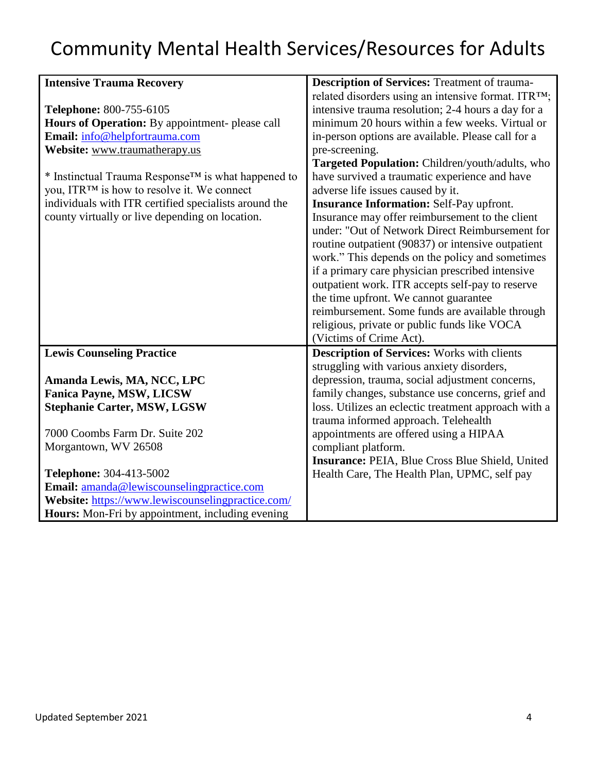| <b>Intensive Trauma Recovery</b>                                | <b>Description of Services: Treatment of trauma-</b>             |
|-----------------------------------------------------------------|------------------------------------------------------------------|
|                                                                 | related disorders using an intensive format. ITR <sup>TM</sup> ; |
| Telephone: 800-755-6105                                         | intensive trauma resolution; 2-4 hours a day for a               |
| Hours of Operation: By appointment- please call                 | minimum 20 hours within a few weeks. Virtual or                  |
| Email: info@helpfortrauma.com                                   | in-person options are available. Please call for a               |
| Website: www.traumatherapy.us                                   | pre-screening.                                                   |
|                                                                 | Targeted Population: Children/youth/adults, who                  |
| * Instinctual Trauma Response <sup>TM</sup> is what happened to | have survived a traumatic experience and have                    |
| you, ITR <sup>TM</sup> is how to resolve it. We connect         | adverse life issues caused by it.                                |
| individuals with ITR certified specialists around the           | <b>Insurance Information: Self-Pay upfront.</b>                  |
| county virtually or live depending on location.                 | Insurance may offer reimbursement to the client                  |
|                                                                 | under: "Out of Network Direct Reimbursement for                  |
|                                                                 | routine outpatient (90837) or intensive outpatient               |
|                                                                 | work." This depends on the policy and sometimes                  |
|                                                                 | if a primary care physician prescribed intensive                 |
|                                                                 | outpatient work. ITR accepts self-pay to reserve                 |
|                                                                 | the time upfront. We cannot guarantee                            |
|                                                                 | reimbursement. Some funds are available through                  |
|                                                                 | religious, private or public funds like VOCA                     |
|                                                                 | (Victims of Crime Act).                                          |
| <b>Lewis Counseling Practice</b>                                | <b>Description of Services:</b> Works with clients               |
|                                                                 | struggling with various anxiety disorders,                       |
| Amanda Lewis, MA, NCC, LPC                                      | depression, trauma, social adjustment concerns,                  |
| <b>Fanica Payne, MSW, LICSW</b>                                 | family changes, substance use concerns, grief and                |
| <b>Stephanie Carter, MSW, LGSW</b>                              | loss. Utilizes an eclectic treatment approach with a             |
|                                                                 | trauma informed approach. Telehealth                             |
| 7000 Coombs Farm Dr. Suite 202                                  | appointments are offered using a HIPAA                           |
| Morgantown, WV 26508                                            | compliant platform.                                              |
|                                                                 | Insurance: PEIA, Blue Cross Blue Shield, United                  |
| Telephone: 304-413-5002                                         | Health Care, The Health Plan, UPMC, self pay                     |
| Email: amanda@lewiscounselingpractice.com                       |                                                                  |
| Website: https://www.lewiscounselingpractice.com/               |                                                                  |
| <b>Hours:</b> Mon-Fri by appointment, including evening         |                                                                  |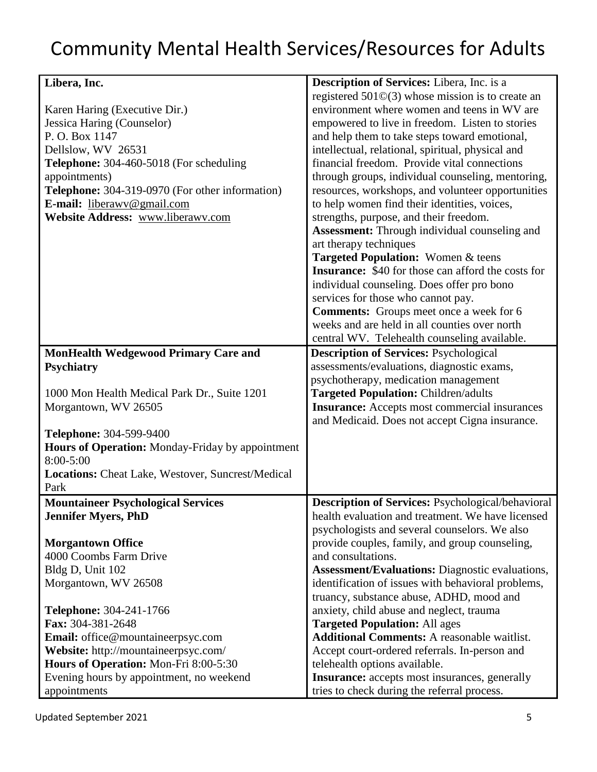| Libera, Inc.                                      | Description of Services: Libera, Inc. is a                |
|---------------------------------------------------|-----------------------------------------------------------|
|                                                   | registered $501\text{O}(3)$ whose mission is to create an |
| Karen Haring (Executive Dir.)                     | environment where women and teens in WV are               |
| Jessica Haring (Counselor)                        | empowered to live in freedom. Listen to stories           |
| P.O. Box 1147                                     | and help them to take steps toward emotional,             |
| Dellslow, WV 26531                                | intellectual, relational, spiritual, physical and         |
| <b>Telephone:</b> 304-460-5018 (For scheduling    | financial freedom. Provide vital connections              |
| appointments)                                     | through groups, individual counseling, mentoring,         |
| Telephone: 304-319-0970 (For other information)   | resources, workshops, and volunteer opportunities         |
| E-mail: liberawy@gmail.com                        | to help women find their identities, voices,              |
| Website Address: www.liberawv.com                 | strengths, purpose, and their freedom.                    |
|                                                   |                                                           |
|                                                   | <b>Assessment:</b> Through individual counseling and      |
|                                                   | art therapy techniques                                    |
|                                                   | <b>Targeted Population:</b> Women & teens                 |
|                                                   | <b>Insurance:</b> \$40 for those can afford the costs for |
|                                                   | individual counseling. Does offer pro bono                |
|                                                   | services for those who cannot pay.                        |
|                                                   | <b>Comments:</b> Groups meet once a week for 6            |
|                                                   | weeks and are held in all counties over north             |
|                                                   | central WV. Telehealth counseling available.              |
| <b>MonHealth Wedgewood Primary Care and</b>       | <b>Description of Services: Psychological</b>             |
| <b>Psychiatry</b>                                 | assessments/evaluations, diagnostic exams,                |
|                                                   | psychotherapy, medication management                      |
| 1000 Mon Health Medical Park Dr., Suite 1201      | Targeted Population: Children/adults                      |
| Morgantown, WV 26505                              | <b>Insurance:</b> Accepts most commercial insurances      |
|                                                   | and Medicaid. Does not accept Cigna insurance.            |
| Telephone: 304-599-9400                           |                                                           |
| Hours of Operation: Monday-Friday by appointment  |                                                           |
| $8:00 - 5:00$                                     |                                                           |
| Locations: Cheat Lake, Westover, Suncrest/Medical |                                                           |
| Park                                              |                                                           |
| <b>Mountaineer Psychological Services</b>         | <b>Description of Services: Psychological/behavioral</b>  |
| <b>Jennifer Myers, PhD</b>                        | health evaluation and treatment. We have licensed         |
|                                                   | psychologists and several counselors. We also             |
| <b>Morgantown Office</b>                          | provide couples, family, and group counseling,            |
| 4000 Coombs Farm Drive                            | and consultations.                                        |
| Bldg D, Unit 102                                  | <b>Assessment/Evaluations:</b> Diagnostic evaluations,    |
| Morgantown, WV 26508                              | identification of issues with behavioral problems,        |
|                                                   | truancy, substance abuse, ADHD, mood and                  |
| Telephone: 304-241-1766                           | anxiety, child abuse and neglect, trauma                  |
| Fax: 304-381-2648                                 | <b>Targeted Population: All ages</b>                      |
|                                                   |                                                           |
| Email: office@mountaineerpsyc.com                 | <b>Additional Comments:</b> A reasonable waitlist.        |
| Website: http://mountaineerpsyc.com/              | Accept court-ordered referrals. In-person and             |
| Hours of Operation: Mon-Fri 8:00-5:30             | telehealth options available.                             |
| Evening hours by appointment, no weekend          | <b>Insurance:</b> accepts most insurances, generally      |
| appointments                                      | tries to check during the referral process.               |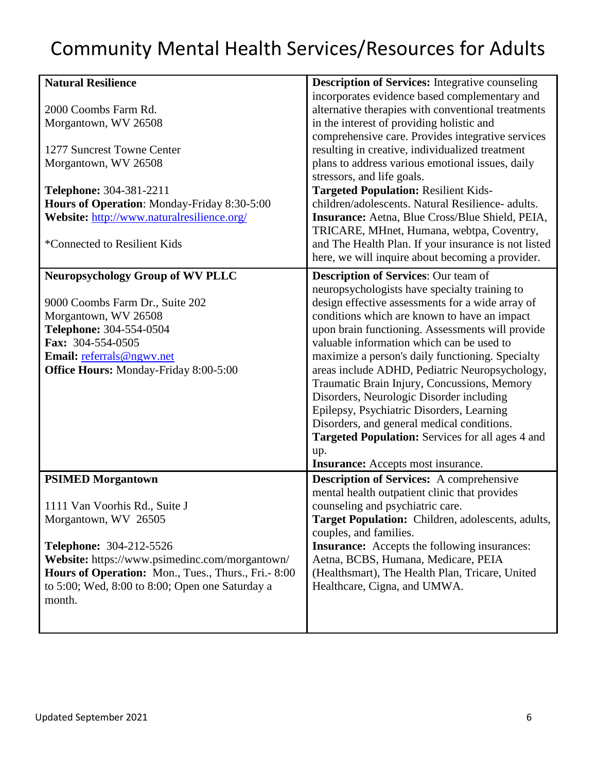| <b>Natural Resilience</b>                            | <b>Description of Services:</b> Integrative counseling                          |
|------------------------------------------------------|---------------------------------------------------------------------------------|
|                                                      | incorporates evidence based complementary and                                   |
| 2000 Coombs Farm Rd.                                 | alternative therapies with conventional treatments                              |
| Morgantown, WV 26508                                 | in the interest of providing holistic and                                       |
|                                                      | comprehensive care. Provides integrative services                               |
| 1277 Suncrest Towne Center                           | resulting in creative, individualized treatment                                 |
| Morgantown, WV 26508                                 | plans to address various emotional issues, daily                                |
|                                                      | stressors, and life goals.                                                      |
| Telephone: 304-381-2211                              | <b>Targeted Population: Resilient Kids-</b>                                     |
| Hours of Operation: Monday-Friday 8:30-5:00          | children/adolescents. Natural Resilience- adults.                               |
| Website: http://www.naturalresilience.org/           | <b>Insurance:</b> Aetna, Blue Cross/Blue Shield, PEIA,                          |
|                                                      | TRICARE, MHnet, Humana, webtpa, Coventry,                                       |
| *Connected to Resilient Kids                         | and The Health Plan. If your insurance is not listed                            |
|                                                      | here, we will inquire about becoming a provider.                                |
|                                                      |                                                                                 |
| <b>Neuropsychology Group of WV PLLC</b>              | <b>Description of Services: Our team of</b>                                     |
|                                                      | neuropsychologists have specialty training to                                   |
| 9000 Coombs Farm Dr., Suite 202                      | design effective assessments for a wide array of                                |
| Morgantown, WV 26508                                 | conditions which are known to have an impact                                    |
| Telephone: 304-554-0504                              | upon brain functioning. Assessments will provide                                |
| Fax: 304-554-0505                                    | valuable information which can be used to                                       |
| Email: referrals@ngwv.net                            | maximize a person's daily functioning. Specialty                                |
| <b>Office Hours: Monday-Friday 8:00-5:00</b>         | areas include ADHD, Pediatric Neuropsychology,                                  |
|                                                      | Traumatic Brain Injury, Concussions, Memory                                     |
|                                                      | Disorders, Neurologic Disorder including                                        |
|                                                      | Epilepsy, Psychiatric Disorders, Learning                                       |
|                                                      | Disorders, and general medical conditions.                                      |
|                                                      | <b>Targeted Population:</b> Services for all ages 4 and                         |
|                                                      | up.                                                                             |
|                                                      | <b>Insurance:</b> Accepts most insurance.                                       |
| <b>PSIMED Morgantown</b>                             | <b>Description of Services:</b> A comprehensive                                 |
|                                                      | mental health outpatient clinic that provides                                   |
| 1111 Van Voorhis Rd., Suite J                        | counseling and psychiatric care.                                                |
| Morgantown, WV 26505                                 | Target Population: Children, adolescents, adults,                               |
|                                                      | couples, and families.                                                          |
| Telephone: 304-212-5526                              | <b>Insurance:</b> Accepts the following insurances:                             |
| Website: https://www.psimedinc.com/morgantown/       | Aetna, BCBS, Humana, Medicare, PEIA                                             |
|                                                      |                                                                                 |
| Hours of Operation: Mon., Tues., Thurs., Fri. - 8:00 | (Healthsmart), The Health Plan, Tricare, United<br>Healthcare, Cigna, and UMWA. |
| to 5:00; Wed, 8:00 to 8:00; Open one Saturday a      |                                                                                 |
| month.                                               |                                                                                 |
|                                                      |                                                                                 |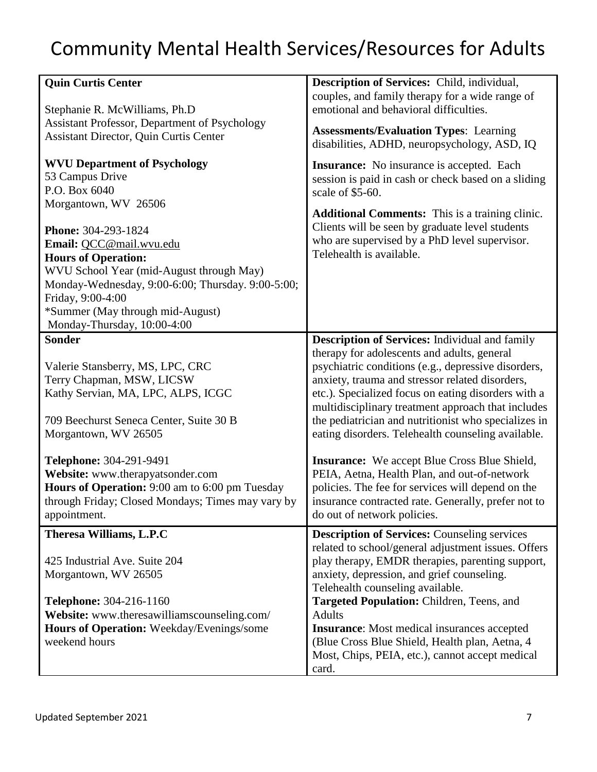| <b>Quin Curtis Center</b>                         | Description of Services: Child, individual,<br>couples, and family therapy for a wide range of<br>emotional and behavioral difficulties. |
|---------------------------------------------------|------------------------------------------------------------------------------------------------------------------------------------------|
| Stephanie R. McWilliams, Ph.D                     |                                                                                                                                          |
| Assistant Professor, Department of Psychology     | <b>Assessments/Evaluation Types: Learning</b>                                                                                            |
| <b>Assistant Director, Quin Curtis Center</b>     | disabilities, ADHD, neuropsychology, ASD, IQ                                                                                             |
| <b>WVU Department of Psychology</b>               | <b>Insurance:</b> No insurance is accepted. Each                                                                                         |
| 53 Campus Drive                                   | session is paid in cash or check based on a sliding                                                                                      |
| P.O. Box 6040                                     | scale of \$5-60.                                                                                                                         |
| Morgantown, WV 26506                              |                                                                                                                                          |
|                                                   | <b>Additional Comments:</b> This is a training clinic.                                                                                   |
| Phone: 304-293-1824                               | Clients will be seen by graduate level students                                                                                          |
|                                                   | who are supervised by a PhD level supervisor.                                                                                            |
| Email: OCC@mail.wvu.edu                           | Telehealth is available.                                                                                                                 |
| <b>Hours of Operation:</b>                        |                                                                                                                                          |
| WVU School Year (mid-August through May)          |                                                                                                                                          |
| Monday-Wednesday, 9:00-6:00; Thursday. 9:00-5:00; |                                                                                                                                          |
| Friday, 9:00-4:00                                 |                                                                                                                                          |
| *Summer (May through mid-August)                  |                                                                                                                                          |
| Monday-Thursday, 10:00-4:00                       |                                                                                                                                          |
| <b>Sonder</b>                                     | <b>Description of Services:</b> Individual and family                                                                                    |
|                                                   | therapy for adolescents and adults, general                                                                                              |
| Valerie Stansberry, MS, LPC, CRC                  | psychiatric conditions (e.g., depressive disorders,                                                                                      |
| Terry Chapman, MSW, LICSW                         | anxiety, trauma and stressor related disorders,                                                                                          |
| Kathy Servian, MA, LPC, ALPS, ICGC                | etc.). Specialized focus on eating disorders with a                                                                                      |
|                                                   | multidisciplinary treatment approach that includes                                                                                       |
|                                                   |                                                                                                                                          |
| 709 Beechurst Seneca Center, Suite 30 B           | the pediatrician and nutritionist who specializes in                                                                                     |
| Morgantown, WV 26505                              | eating disorders. Telehealth counseling available.                                                                                       |
| Telephone: 304-291-9491                           | <b>Insurance:</b> We accept Blue Cross Blue Shield,                                                                                      |
| Website: www.therapyatsonder.com                  | PEIA, Aetna, Health Plan, and out-of-network                                                                                             |
| Hours of Operation: 9:00 am to 6:00 pm Tuesday    | policies. The fee for services will depend on the                                                                                        |
| through Friday; Closed Mondays; Times may vary by | insurance contracted rate. Generally, prefer not to                                                                                      |
| appointment.                                      | do out of network policies.                                                                                                              |
|                                                   |                                                                                                                                          |
| Theresa Williams, L.P.C                           | <b>Description of Services: Counseling services</b>                                                                                      |
|                                                   | related to school/general adjustment issues. Offers                                                                                      |
| 425 Industrial Ave. Suite 204                     | play therapy, EMDR therapies, parenting support,                                                                                         |
| Morgantown, WV 26505                              | anxiety, depression, and grief counseling.                                                                                               |
|                                                   | Telehealth counseling available.                                                                                                         |
| Telephone: 304-216-1160                           | Targeted Population: Children, Teens, and                                                                                                |
| Website: www.theresawilliamscounseling.com/       | Adults                                                                                                                                   |
| Hours of Operation: Weekday/Evenings/some         | <b>Insurance:</b> Most medical insurances accepted                                                                                       |
| weekend hours                                     |                                                                                                                                          |
|                                                   | (Blue Cross Blue Shield, Health plan, Aetna, 4                                                                                           |
|                                                   | Most, Chips, PEIA, etc.), cannot accept medical                                                                                          |
|                                                   | card.                                                                                                                                    |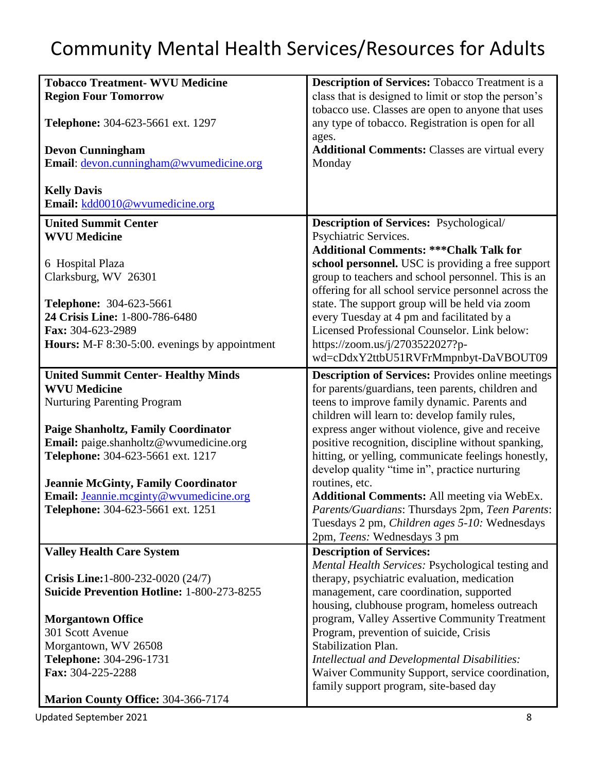| <b>Tobacco Treatment- WVU Medicine</b>               | <b>Description of Services:</b> Tobacco Treatment is a   |
|------------------------------------------------------|----------------------------------------------------------|
| <b>Region Four Tomorrow</b>                          | class that is designed to limit or stop the person's     |
|                                                      | tobacco use. Classes are open to anyone that uses        |
| Telephone: 304-623-5661 ext. 1297                    | any type of tobacco. Registration is open for all        |
|                                                      | ages.                                                    |
| <b>Devon Cunningham</b>                              | <b>Additional Comments: Classes are virtual every</b>    |
| Email: devon.cunningham@wvumedicine.org              | Monday                                                   |
|                                                      |                                                          |
| <b>Kelly Davis</b>                                   |                                                          |
| Email: kdd0010@wvumedicine.org                       |                                                          |
| <b>United Summit Center</b>                          | <b>Description of Services: Psychological/</b>           |
| <b>WVU Medicine</b>                                  | Psychiatric Services.                                    |
|                                                      | <b>Additional Comments: *** Chalk Talk for</b>           |
| 6 Hospital Plaza                                     | school personnel. USC is providing a free support        |
| Clarksburg, WV 26301                                 | group to teachers and school personnel. This is an       |
|                                                      | offering for all school service personnel across the     |
| Telephone: 304-623-5661                              | state. The support group will be held via zoom           |
| 24 Crisis Line: 1-800-786-6480                       | every Tuesday at 4 pm and facilitated by a               |
| Fax: 304-623-2989                                    | Licensed Professional Counselor. Link below:             |
| <b>Hours:</b> M-F 8:30-5:00. evenings by appointment | https://zoom.us/j/2703522027?p-                          |
|                                                      | wd=cDdxY2ttbU51RVFrMmpnbyt-DaVBOUT09                     |
| <b>United Summit Center- Healthy Minds</b>           | <b>Description of Services: Provides online meetings</b> |
| <b>WVU Medicine</b>                                  | for parents/guardians, teen parents, children and        |
| <b>Nurturing Parenting Program</b>                   | teens to improve family dynamic. Parents and             |
|                                                      | children will learn to: develop family rules,            |
| <b>Paige Shanholtz, Family Coordinator</b>           | express anger without violence, give and receive         |
| Email: paige.shanholtz@wvumedicine.org               | positive recognition, discipline without spanking,       |
| Telephone: 304-623-5661 ext. 1217                    | hitting, or yelling, communicate feelings honestly,      |
|                                                      | develop quality "time in", practice nurturing            |
| <b>Jeannie McGinty, Family Coordinator</b>           | routines, etc.                                           |
| Email: Jeannie.mcginty@wvumedicine.org               | <b>Additional Comments: All meeting via WebEx.</b>       |
| Telephone: 304-623-5661 ext. 1251                    | Parents/Guardians: Thursdays 2pm, Teen Parents:          |
|                                                      | Tuesdays 2 pm, Children ages 5-10: Wednesdays            |
|                                                      | 2pm, Teens: Wednesdays 3 pm                              |
| <b>Valley Health Care System</b>                     | <b>Description of Services:</b>                          |
|                                                      | Mental Health Services: Psychological testing and        |
| Crisis Line: 1-800-232-0020 (24/7)                   | therapy, psychiatric evaluation, medication              |
| <b>Suicide Prevention Hotline: 1-800-273-8255</b>    | management, care coordination, supported                 |
|                                                      | housing, clubhouse program, homeless outreach            |
| <b>Morgantown Office</b>                             | program, Valley Assertive Community Treatment            |
| 301 Scott Avenue                                     | Program, prevention of suicide, Crisis                   |
| Morgantown, WV 26508                                 | Stabilization Plan.                                      |
| Telephone: 304-296-1731                              | <b>Intellectual and Developmental Disabilities:</b>      |
| Fax: 304-225-2288                                    | Waiver Community Support, service coordination,          |
|                                                      | family support program, site-based day                   |
| Marion County Office: 304-366-7174                   |                                                          |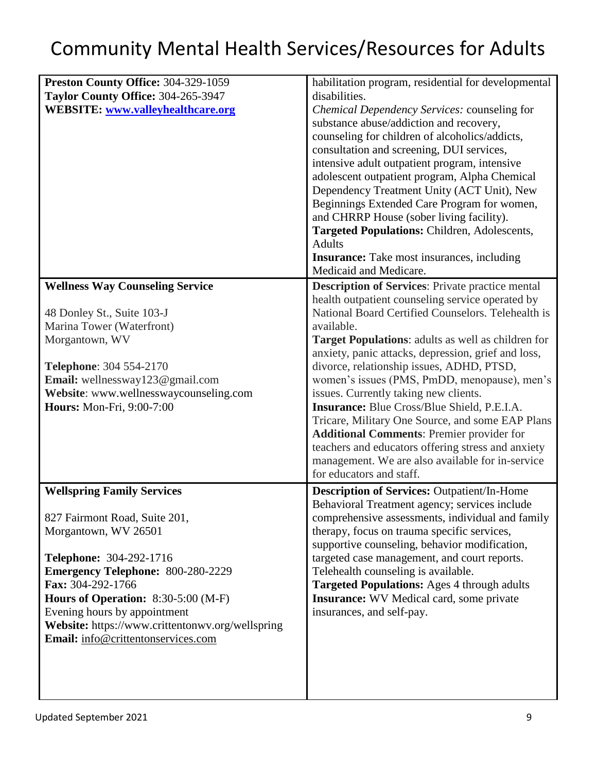| Preston County Office: 304-329-1059<br>Taylor County Office: 304-265-3947<br><b>WEBSITE:</b> www.valleyhealthcare.org                                                                                                                                                                                                                                   | habilitation program, residential for developmental<br>disabilities.<br>Chemical Dependency Services: counseling for<br>substance abuse/addiction and recovery,<br>counseling for children of alcoholics/addicts,<br>consultation and screening, DUI services,<br>intensive adult outpatient program, intensive<br>adolescent outpatient program, Alpha Chemical<br>Dependency Treatment Unity (ACT Unit), New<br>Beginnings Extended Care Program for women,<br>and CHRRP House (sober living facility).<br>Targeted Populations: Children, Adolescents,<br><b>Adults</b><br><b>Insurance:</b> Take most insurances, including<br>Medicaid and Medicare.                                                                                     |
|---------------------------------------------------------------------------------------------------------------------------------------------------------------------------------------------------------------------------------------------------------------------------------------------------------------------------------------------------------|-----------------------------------------------------------------------------------------------------------------------------------------------------------------------------------------------------------------------------------------------------------------------------------------------------------------------------------------------------------------------------------------------------------------------------------------------------------------------------------------------------------------------------------------------------------------------------------------------------------------------------------------------------------------------------------------------------------------------------------------------|
|                                                                                                                                                                                                                                                                                                                                                         |                                                                                                                                                                                                                                                                                                                                                                                                                                                                                                                                                                                                                                                                                                                                               |
| <b>Wellness Way Counseling Service</b><br>48 Donley St., Suite 103-J<br>Marina Tower (Waterfront)<br>Morgantown, WV<br><b>Telephone: 304 554-2170</b><br>Email: wellnessway123@gmail.com<br>Website: www.wellnesswaycounseling.com<br>Hours: Mon-Fri, 9:00-7:00                                                                                         | <b>Description of Services:</b> Private practice mental<br>health outpatient counseling service operated by<br>National Board Certified Counselors. Telehealth is<br>available.<br><b>Target Populations:</b> adults as well as children for<br>anxiety, panic attacks, depression, grief and loss,<br>divorce, relationship issues, ADHD, PTSD,<br>women's issues (PMS, PmDD, menopause), men's<br>issues. Currently taking new clients.<br><b>Insurance:</b> Blue Cross/Blue Shield, P.E.I.A.<br>Tricare, Military One Source, and some EAP Plans<br><b>Additional Comments: Premier provider for</b><br>teachers and educators offering stress and anxiety<br>management. We are also available for in-service<br>for educators and staff. |
| <b>Wellspring Family Services</b><br>827 Fairmont Road, Suite 201,<br>Morgantown, WV 26501<br>Telephone: 304-292-1716<br><b>Emergency Telephone: 800-280-2229</b><br>Fax: 304-292-1766<br>Hours of Operation: 8:30-5:00 (M-F)<br>Evening hours by appointment<br>Website: https://www.crittentonwv.org/wellspring<br>Email: info@crittentonservices.com | <b>Description of Services: Outpatient/In-Home</b><br>Behavioral Treatment agency; services include<br>comprehensive assessments, individual and family<br>therapy, focus on trauma specific services,<br>supportive counseling, behavior modification,<br>targeted case management, and court reports.<br>Telehealth counseling is available.<br><b>Targeted Populations:</b> Ages 4 through adults<br><b>Insurance:</b> WV Medical card, some private<br>insurances, and self-pay.                                                                                                                                                                                                                                                          |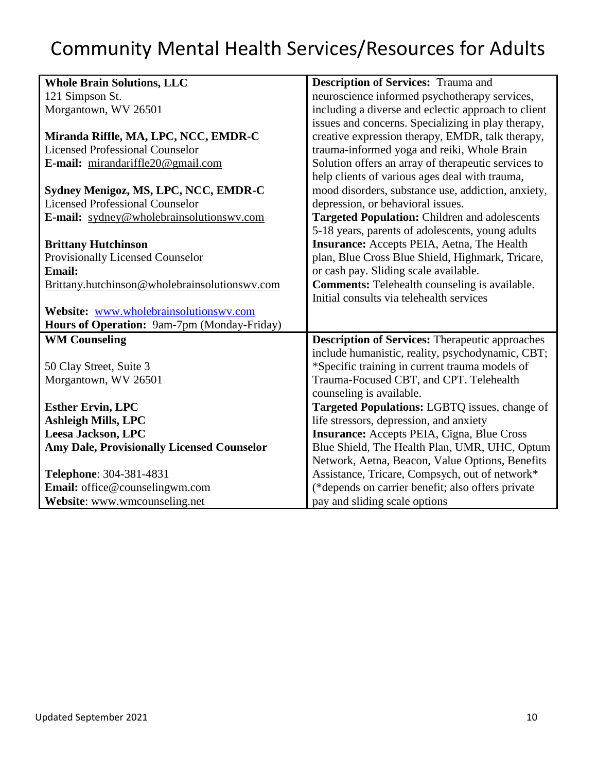| <b>Whole Brain Solutions, LLC</b>                 | <b>Description of Services: Trauma and</b>             |
|---------------------------------------------------|--------------------------------------------------------|
| 121 Simpson St.                                   | neuroscience informed psychotherapy services,          |
| Morgantown, WV 26501                              | including a diverse and eclectic approach to client    |
|                                                   | issues and concerns. Specializing in play therapy,     |
| Miranda Riffle, MA, LPC, NCC, EMDR-C              | creative expression therapy, EMDR, talk therapy,       |
| <b>Licensed Professional Counselor</b>            | trauma-informed yoga and reiki, Whole Brain            |
| E-mail: mirandariffle20@gmail.com                 | Solution offers an array of therapeutic services to    |
|                                                   | help clients of various ages deal with trauma,         |
| Sydney Menigoz, MS, LPC, NCC, EMDR-C              | mood disorders, substance use, addiction, anxiety,     |
| <b>Licensed Professional Counselor</b>            | depression, or behavioral issues.                      |
| E-mail: sydney@wholebrainsolutionswy.com          | <b>Targeted Population:</b> Children and adolescents   |
|                                                   | 5-18 years, parents of adolescents, young adults       |
| <b>Brittany Hutchinson</b>                        | <b>Insurance:</b> Accepts PEIA, Aetna, The Health      |
| Provisionally Licensed Counselor                  | plan, Blue Cross Blue Shield, Highmark, Tricare,       |
| <b>Email:</b>                                     | or cash pay. Sliding scale available.                  |
| Brittany.hutchinson@wholebrainsolutionswy.com     | <b>Comments:</b> Telehealth counseling is available.   |
|                                                   | Initial consults via telehealth services               |
| Website: www.wholebrainsolutionswv.com            |                                                        |
| Hours of Operation: 9am-7pm (Monday-Friday)       |                                                        |
| <b>WM Counseling</b>                              | <b>Description of Services:</b> Therapeutic approaches |
|                                                   | include humanistic, reality, psychodynamic, CBT;       |
| 50 Clay Street, Suite 3                           | *Specific training in current trauma models of         |
| Morgantown, WV 26501                              | Trauma-Focused CBT, and CPT. Telehealth                |
|                                                   | counseling is available.                               |
| <b>Esther Ervin, LPC</b>                          | Targeted Populations: LGBTQ issues, change of          |
| <b>Ashleigh Mills, LPC</b>                        | life stressors, depression, and anxiety                |
| Leesa Jackson, LPC                                | <b>Insurance:</b> Accepts PEIA, Cigna, Blue Cross      |
| <b>Amy Dale, Provisionally Licensed Counselor</b> | Blue Shield, The Health Plan, UMR, UHC, Optum          |
|                                                   | Network, Aetna, Beacon, Value Options, Benefits        |
| Telephone: 304-381-4831                           | Assistance, Tricare, Compsych, out of network*         |
| Email: office@counselingwm.com                    | (*depends on carrier benefit; also offers private      |
| Website: www.wmcounseling.net                     | pay and sliding scale options                          |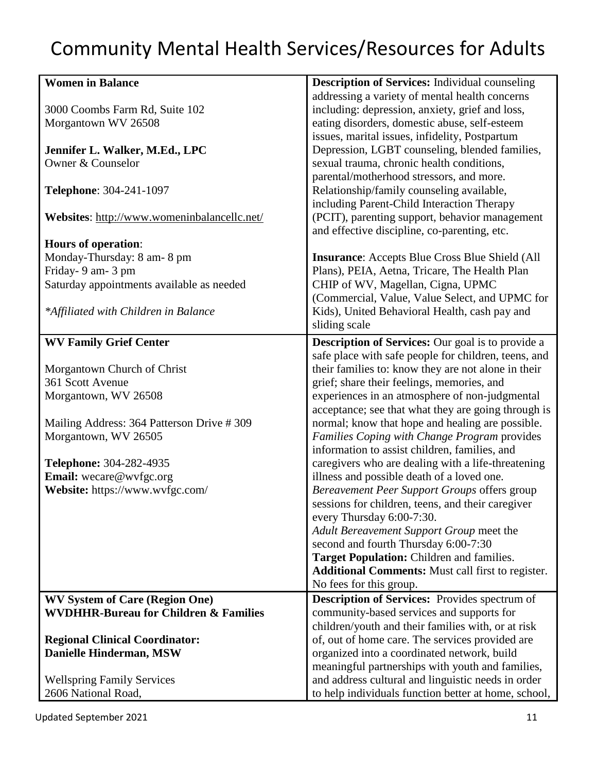| <b>Women in Balance</b>                                  | <b>Description of Services:</b> Individual counseling                                                      |
|----------------------------------------------------------|------------------------------------------------------------------------------------------------------------|
|                                                          | addressing a variety of mental health concerns                                                             |
| 3000 Coombs Farm Rd, Suite 102                           | including: depression, anxiety, grief and loss,                                                            |
| Morgantown WV 26508                                      | eating disorders, domestic abuse, self-esteem                                                              |
|                                                          | issues, marital issues, infidelity, Postpartum                                                             |
|                                                          |                                                                                                            |
| Jennifer L. Walker, M.Ed., LPC                           | Depression, LGBT counseling, blended families,                                                             |
| Owner & Counselor                                        | sexual trauma, chronic health conditions,                                                                  |
|                                                          | parental/motherhood stressors, and more.                                                                   |
| Telephone: 304-241-1097                                  | Relationship/family counseling available,                                                                  |
|                                                          | including Parent-Child Interaction Therapy                                                                 |
| Websites: http://www.womeninbalancellc.net/              | (PCIT), parenting support, behavior management                                                             |
|                                                          | and effective discipline, co-parenting, etc.                                                               |
| Hours of operation:                                      |                                                                                                            |
|                                                          |                                                                                                            |
| Monday-Thursday: 8 am-8 pm                               | <b>Insurance:</b> Accepts Blue Cross Blue Shield (All                                                      |
| Friday- 9 am- 3 pm                                       | Plans), PEIA, Aetna, Tricare, The Health Plan                                                              |
| Saturday appointments available as needed                | CHIP of WV, Magellan, Cigna, UPMC                                                                          |
|                                                          | (Commercial, Value, Value Select, and UPMC for                                                             |
| *Affiliated with Children in Balance                     | Kids), United Behavioral Health, cash pay and                                                              |
|                                                          | sliding scale                                                                                              |
|                                                          |                                                                                                            |
| <b>WV Family Grief Center</b>                            | <b>Description of Services:</b> Our goal is to provide a                                                   |
|                                                          | safe place with safe people for children, teens, and                                                       |
| Morgantown Church of Christ                              | their families to: know they are not alone in their                                                        |
| 361 Scott Avenue                                         | grief; share their feelings, memories, and                                                                 |
| Morgantown, WV 26508                                     | experiences in an atmosphere of non-judgmental                                                             |
|                                                          | acceptance; see that what they are going through is                                                        |
| Mailing Address: 364 Patterson Drive #309                | normal; know that hope and healing are possible.                                                           |
| Morgantown, WV 26505                                     | Families Coping with Change Program provides                                                               |
|                                                          | information to assist children, families, and                                                              |
|                                                          |                                                                                                            |
| Telephone: 304-282-4935                                  | caregivers who are dealing with a life-threatening                                                         |
| Email: wecare@wvfgc.org                                  | illness and possible death of a loved one.                                                                 |
| Website: https://www.wvfgc.com/                          | Bereavement Peer Support Groups offers group                                                               |
|                                                          | sessions for children, teens, and their caregiver                                                          |
|                                                          | every Thursday 6:00-7:30.                                                                                  |
|                                                          | Adult Bereavement Support Group meet the                                                                   |
|                                                          | second and fourth Thursday 6:00-7:30                                                                       |
|                                                          | Target Population: Children and families.                                                                  |
|                                                          | <b>Additional Comments:</b> Must call first to register.                                                   |
|                                                          | No fees for this group.                                                                                    |
|                                                          |                                                                                                            |
| <b>WV System of Care (Region One)</b>                    | <b>Description of Services:</b> Provides spectrum of                                                       |
| <b>WVDHHR-Bureau for Children &amp; Families</b>         | community-based services and supports for                                                                  |
|                                                          |                                                                                                            |
|                                                          | children/youth and their families with, or at risk                                                         |
| <b>Regional Clinical Coordinator:</b>                    | of, out of home care. The services provided are                                                            |
| Danielle Hinderman, MSW                                  | organized into a coordinated network, build                                                                |
|                                                          |                                                                                                            |
|                                                          | meaningful partnerships with youth and families,                                                           |
| <b>Wellspring Family Services</b><br>2606 National Road, | and address cultural and linguistic needs in order<br>to help individuals function better at home, school, |